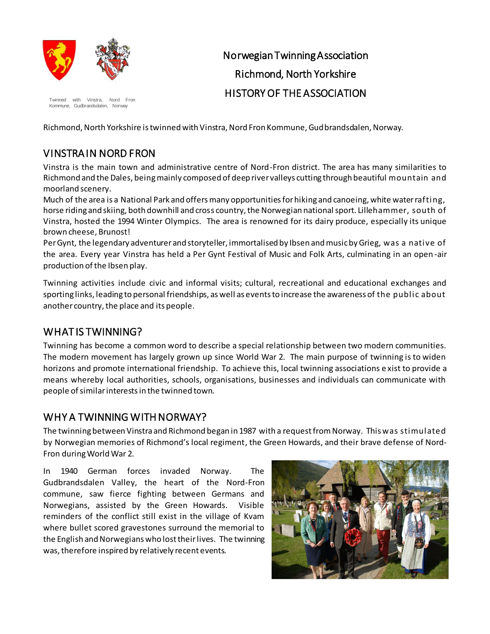

Twinned with Vinstra, Nord Fron Kommune, Gudbrandsdalen, Norway

# Norwegian Twinning Association Richmond, North Yorkshire HISTORY OF THE ASSOCIATION

Richmond, North Yorkshire is twinned with Vinstra, Nord Fron Kommune, Gudbrandsdalen, Norway.

## VINSTRA IN NORD FRON

Vinstra is the main town and administrative centre of Nord-Fron district. The area has many similarities to Richmond and the Dales, being mainly composed of deep river valleys cutting through beautiful mountain and moorland scenery.

Much of the area is a National Park and offers many opportunities for hiking and canoeing, white water rafting, horse riding and skiing, both downhill and cross country, the Norwegian national sport. Lillehammer, south of Vinstra, hosted the 1994 Winter Olympics. The area is renowned for its dairy produce, especially its unique brown cheese, Brunost!

Per Gynt, the legendary adventurer and storyteller, immortalised by Ibsen and music by Grieg, was a native of the area. Every year Vinstra has held a Per Gynt Festival of Music and Folk Arts, culminating in an open -air production of the Ibsen play.

Twinning activities include civic and informal visits; cultural, recreational and educational exchanges and sporting links, leading to personal friendships, as well as events to increase the awareness of the public about another country, the place and its people.

#### WHAT IS TWINNING?

Twinning has become a common word to describe a special relationship between two modern communities. The modern movement has largely grown up since World War 2. The main purpose of twinning is to widen horizons and promote international friendship. To achieve this, local twinning associations e xist to provide a means whereby local authorities, schools, organisations, businesses and individuals can communicate with people of similar interests in the twinned town.

## WHY A TWINNING WITH NORWAY?

The twinning between Vinstra and Richmond began in 1987 with a request from Norway. This was stimulated by Norwegian memories of Richmond's local regiment, the Green Howards, and their brave defense of Nord-Fron during World War 2.

In 1940 German forces invaded Norway. The Gudbrandsdalen Valley, the heart of the Nord-Fron commune, saw fierce fighting between Germans and Norwegians, assisted by the Green Howards. Visible reminders of the conflict still exist in the village of Kvam where bullet scored gravestones surround the memorial to the English and Norwegians who lost their lives. The twinning was, therefore inspired by relatively recent events.